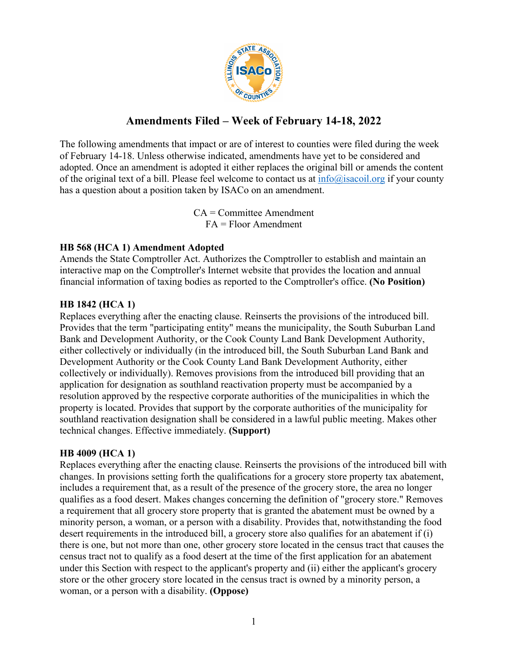

# **Amendments Filed – Week of February 14-18, 2022**

The following amendments that impact or are of interest to counties were filed during the week of February 14-18. Unless otherwise indicated, amendments have yet to be considered and adopted. Once an amendment is adopted it either replaces the original bill or amends the content of the original text of a bill. Please feel welcome to contact us at  $info(\hat{\omega})$  is acoil.org if your county has a question about a position taken by ISACo on an amendment.

> CA = Committee Amendment FA = Floor Amendment

### **HB 568 (HCA 1) Amendment Adopted**

Amends the State Comptroller Act. Authorizes the Comptroller to establish and maintain an interactive map on the Comptroller's Internet website that provides the location and annual financial information of taxing bodies as reported to the Comptroller's office. **(No Position)**

### **HB 1842 (HCA 1)**

Replaces everything after the enacting clause. Reinserts the provisions of the introduced bill. Provides that the term "participating entity" means the municipality, the South Suburban Land Bank and Development Authority, or the Cook County Land Bank Development Authority, either collectively or individually (in the introduced bill, the South Suburban Land Bank and Development Authority or the Cook County Land Bank Development Authority, either collectively or individually). Removes provisions from the introduced bill providing that an application for designation as southland reactivation property must be accompanied by a resolution approved by the respective corporate authorities of the municipalities in which the property is located. Provides that support by the corporate authorities of the municipality for southland reactivation designation shall be considered in a lawful public meeting. Makes other technical changes. Effective immediately. **(Support)**

#### **HB 4009 (HCA 1)**

Replaces everything after the enacting clause. Reinserts the provisions of the introduced bill with changes. In provisions setting forth the qualifications for a grocery store property tax abatement, includes a requirement that, as a result of the presence of the grocery store, the area no longer qualifies as a food desert. Makes changes concerning the definition of "grocery store." Removes a requirement that all grocery store property that is granted the abatement must be owned by a minority person, a woman, or a person with a disability. Provides that, notwithstanding the food desert requirements in the introduced bill, a grocery store also qualifies for an abatement if (i) there is one, but not more than one, other grocery store located in the census tract that causes the census tract not to qualify as a food desert at the time of the first application for an abatement under this Section with respect to the applicant's property and (ii) either the applicant's grocery store or the other grocery store located in the census tract is owned by a minority person, a woman, or a person with a disability. **(Oppose)**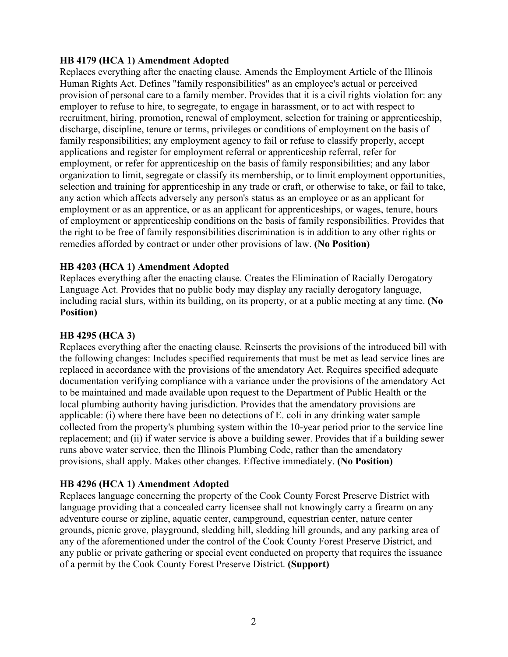#### **HB 4179 (HCA 1) Amendment Adopted**

Replaces everything after the enacting clause. Amends the Employment Article of the Illinois Human Rights Act. Defines "family responsibilities" as an employee's actual or perceived provision of personal care to a family member. Provides that it is a civil rights violation for: any employer to refuse to hire, to segregate, to engage in harassment, or to act with respect to recruitment, hiring, promotion, renewal of employment, selection for training or apprenticeship, discharge, discipline, tenure or terms, privileges or conditions of employment on the basis of family responsibilities; any employment agency to fail or refuse to classify properly, accept applications and register for employment referral or apprenticeship referral, refer for employment, or refer for apprenticeship on the basis of family responsibilities; and any labor organization to limit, segregate or classify its membership, or to limit employment opportunities, selection and training for apprenticeship in any trade or craft, or otherwise to take, or fail to take, any action which affects adversely any person's status as an employee or as an applicant for employment or as an apprentice, or as an applicant for apprenticeships, or wages, tenure, hours of employment or apprenticeship conditions on the basis of family responsibilities. Provides that the right to be free of family responsibilities discrimination is in addition to any other rights or remedies afforded by contract or under other provisions of law. **(No Position)**

### **HB 4203 (HCA 1) Amendment Adopted**

Replaces everything after the enacting clause. Creates the Elimination of Racially Derogatory Language Act. Provides that no public body may display any racially derogatory language, including racial slurs, within its building, on its property, or at a public meeting at any time. **(No Position)**

#### **HB 4295 (HCA 3)**

Replaces everything after the enacting clause. Reinserts the provisions of the introduced bill with the following changes: Includes specified requirements that must be met as lead service lines are replaced in accordance with the provisions of the amendatory Act. Requires specified adequate documentation verifying compliance with a variance under the provisions of the amendatory Act to be maintained and made available upon request to the Department of Public Health or the local plumbing authority having jurisdiction. Provides that the amendatory provisions are applicable: (i) where there have been no detections of E. coli in any drinking water sample collected from the property's plumbing system within the 10-year period prior to the service line replacement; and (ii) if water service is above a building sewer. Provides that if a building sewer runs above water service, then the Illinois Plumbing Code, rather than the amendatory provisions, shall apply. Makes other changes. Effective immediately. **(No Position)**

## **HB 4296 (HCA 1) Amendment Adopted**

Replaces language concerning the property of the Cook County Forest Preserve District with language providing that a concealed carry licensee shall not knowingly carry a firearm on any adventure course or zipline, aquatic center, campground, equestrian center, nature center grounds, picnic grove, playground, sledding hill, sledding hill grounds, and any parking area of any of the aforementioned under the control of the Cook County Forest Preserve District, and any public or private gathering or special event conducted on property that requires the issuance of a permit by the Cook County Forest Preserve District. **(Support)**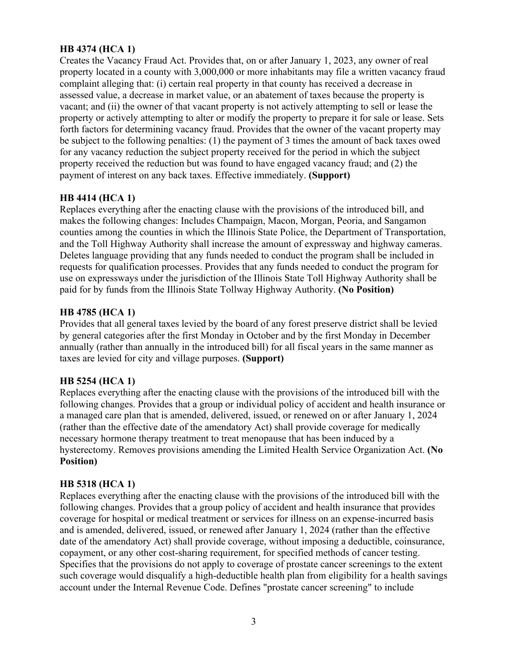## **HB 4374 (HCA 1)**

Creates the Vacancy Fraud Act. Provides that, on or after January 1, 2023, any owner of real property located in a county with 3,000,000 or more inhabitants may file a written vacancy fraud complaint alleging that: (i) certain real property in that county has received a decrease in assessed value, a decrease in market value, or an abatement of taxes because the property is vacant; and (ii) the owner of that vacant property is not actively attempting to sell or lease the property or actively attempting to alter or modify the property to prepare it for sale or lease. Sets forth factors for determining vacancy fraud. Provides that the owner of the vacant property may be subject to the following penalties: (1) the payment of 3 times the amount of back taxes owed for any vacancy reduction the subject property received for the period in which the subject property received the reduction but was found to have engaged vacancy fraud; and (2) the payment of interest on any back taxes. Effective immediately. **(Support)**

### **HB 4414 (HCA 1)**

Replaces everything after the enacting clause with the provisions of the introduced bill, and makes the following changes: Includes Champaign, Macon, Morgan, Peoria, and Sangamon counties among the counties in which the Illinois State Police, the Department of Transportation, and the Toll Highway Authority shall increase the amount of expressway and highway cameras. Deletes language providing that any funds needed to conduct the program shall be included in requests for qualification processes. Provides that any funds needed to conduct the program for use on expressways under the jurisdiction of the Illinois State Toll Highway Authority shall be paid for by funds from the Illinois State Tollway Highway Authority. **(No Position)**

### **HB 4785 (HCA 1)**

Provides that all general taxes levied by the board of any forest preserve district shall be levied by general categories after the first Monday in October and by the first Monday in December annually (rather than annually in the introduced bill) for all fiscal years in the same manner as taxes are levied for city and village purposes. **(Support)**

#### **HB 5254 (HCA 1)**

Replaces everything after the enacting clause with the provisions of the introduced bill with the following changes. Provides that a group or individual policy of accident and health insurance or a managed care plan that is amended, delivered, issued, or renewed on or after January 1, 2024 (rather than the effective date of the amendatory Act) shall provide coverage for medically necessary hormone therapy treatment to treat menopause that has been induced by a hysterectomy. Removes provisions amending the Limited Health Service Organization Act. **(No Position)**

## **HB 5318 (HCA 1)**

Replaces everything after the enacting clause with the provisions of the introduced bill with the following changes. Provides that a group policy of accident and health insurance that provides coverage for hospital or medical treatment or services for illness on an expense-incurred basis and is amended, delivered, issued, or renewed after January 1, 2024 (rather than the effective date of the amendatory Act) shall provide coverage, without imposing a deductible, coinsurance, copayment, or any other cost-sharing requirement, for specified methods of cancer testing. Specifies that the provisions do not apply to coverage of prostate cancer screenings to the extent such coverage would disqualify a high-deductible health plan from eligibility for a health savings account under the Internal Revenue Code. Defines "prostate cancer screening" to include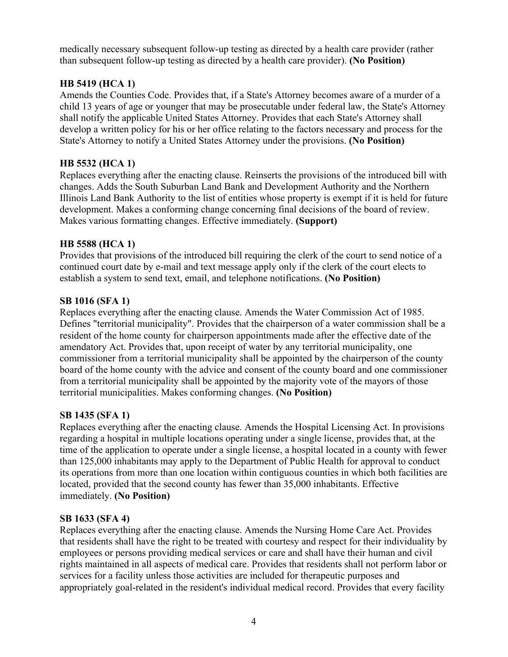medically necessary subsequent follow-up testing as directed by a health care provider (rather than subsequent follow-up testing as directed by a health care provider). **(No Position)**

## **HB 5419 (HCA 1)**

Amends the Counties Code. Provides that, if a State's Attorney becomes aware of a murder of a child 13 years of age or younger that may be prosecutable under federal law, the State's Attorney shall notify the applicable United States Attorney. Provides that each State's Attorney shall develop a written policy for his or her office relating to the factors necessary and process for the State's Attorney to notify a United States Attorney under the provisions. **(No Position)**

## **HB 5532 (HCA 1)**

Replaces everything after the enacting clause. Reinserts the provisions of the introduced bill with changes. Adds the South Suburban Land Bank and Development Authority and the Northern Illinois Land Bank Authority to the list of entities whose property is exempt if it is held for future development. Makes a conforming change concerning final decisions of the board of review. Makes various formatting changes. Effective immediately. **(Support)**

### **HB 5588 (HCA 1)**

Provides that provisions of the introduced bill requiring the clerk of the court to send notice of a continued court date by e-mail and text message apply only if the clerk of the court elects to establish a system to send text, email, and telephone notifications. **(No Position)**

## **SB 1016 (SFA 1)**

Replaces everything after the enacting clause. Amends the Water Commission Act of 1985. Defines "territorial municipality". Provides that the chairperson of a water commission shall be a resident of the home county for chairperson appointments made after the effective date of the amendatory Act. Provides that, upon receipt of water by any territorial municipality, one commissioner from a territorial municipality shall be appointed by the chairperson of the county board of the home county with the advice and consent of the county board and one commissioner from a territorial municipality shall be appointed by the majority vote of the mayors of those territorial municipalities. Makes conforming changes. **(No Position)**

## **SB 1435 (SFA 1)**

Replaces everything after the enacting clause. Amends the Hospital Licensing Act. In provisions regarding a hospital in multiple locations operating under a single license, provides that, at the time of the application to operate under a single license, a hospital located in a county with fewer than 125,000 inhabitants may apply to the Department of Public Health for approval to conduct its operations from more than one location within contiguous counties in which both facilities are located, provided that the second county has fewer than 35,000 inhabitants. Effective immediately. **(No Position)**

#### **SB 1633 (SFA 4)**

Replaces everything after the enacting clause. Amends the Nursing Home Care Act. Provides that residents shall have the right to be treated with courtesy and respect for their individuality by employees or persons providing medical services or care and shall have their human and civil rights maintained in all aspects of medical care. Provides that residents shall not perform labor or services for a facility unless those activities are included for therapeutic purposes and appropriately goal-related in the resident's individual medical record. Provides that every facility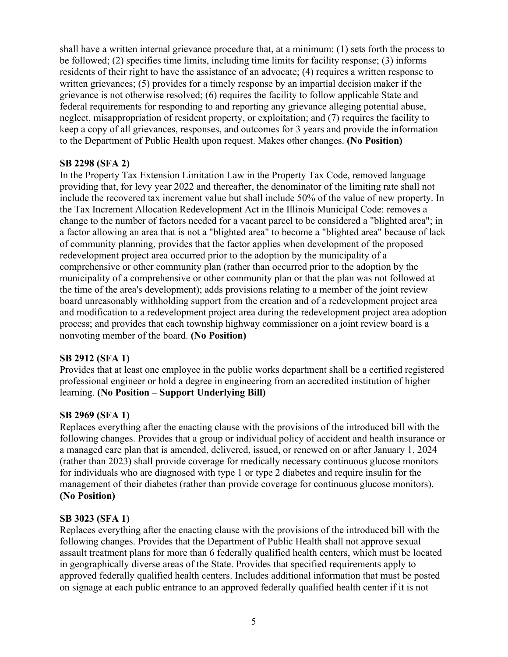shall have a written internal grievance procedure that, at a minimum: (1) sets forth the process to be followed; (2) specifies time limits, including time limits for facility response; (3) informs residents of their right to have the assistance of an advocate; (4) requires a written response to written grievances; (5) provides for a timely response by an impartial decision maker if the grievance is not otherwise resolved; (6) requires the facility to follow applicable State and federal requirements for responding to and reporting any grievance alleging potential abuse, neglect, misappropriation of resident property, or exploitation; and (7) requires the facility to keep a copy of all grievances, responses, and outcomes for 3 years and provide the information to the Department of Public Health upon request. Makes other changes. **(No Position)**

## **SB 2298 (SFA 2)**

In the Property Tax Extension Limitation Law in the Property Tax Code, removed language providing that, for levy year 2022 and thereafter, the denominator of the limiting rate shall not include the recovered tax increment value but shall include 50% of the value of new property. In the Tax Increment Allocation Redevelopment Act in the Illinois Municipal Code: removes a change to the number of factors needed for a vacant parcel to be considered a "blighted area"; in a factor allowing an area that is not a "blighted area" to become a "blighted area" because of lack of community planning, provides that the factor applies when development of the proposed redevelopment project area occurred prior to the adoption by the municipality of a comprehensive or other community plan (rather than occurred prior to the adoption by the municipality of a comprehensive or other community plan or that the plan was not followed at the time of the area's development); adds provisions relating to a member of the joint review board unreasonably withholding support from the creation and of a redevelopment project area and modification to a redevelopment project area during the redevelopment project area adoption process; and provides that each township highway commissioner on a joint review board is a nonvoting member of the board. **(No Position)**

## **SB 2912 (SFA 1)**

Provides that at least one employee in the public works department shall be a certified registered professional engineer or hold a degree in engineering from an accredited institution of higher learning. **(No Position – Support Underlying Bill)**

## **SB 2969 (SFA 1)**

Replaces everything after the enacting clause with the provisions of the introduced bill with the following changes. Provides that a group or individual policy of accident and health insurance or a managed care plan that is amended, delivered, issued, or renewed on or after January 1, 2024 (rather than 2023) shall provide coverage for medically necessary continuous glucose monitors for individuals who are diagnosed with type 1 or type 2 diabetes and require insulin for the management of their diabetes (rather than provide coverage for continuous glucose monitors). **(No Position)**

## **SB 3023 (SFA 1)**

Replaces everything after the enacting clause with the provisions of the introduced bill with the following changes. Provides that the Department of Public Health shall not approve sexual assault treatment plans for more than 6 federally qualified health centers, which must be located in geographically diverse areas of the State. Provides that specified requirements apply to approved federally qualified health centers. Includes additional information that must be posted on signage at each public entrance to an approved federally qualified health center if it is not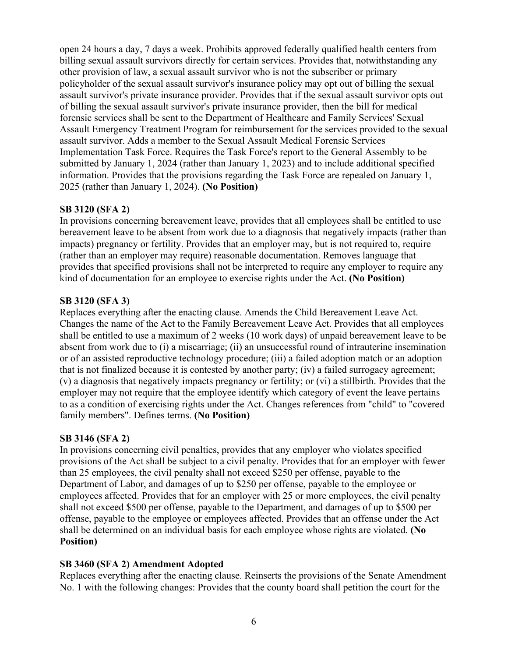open 24 hours a day, 7 days a week. Prohibits approved federally qualified health centers from billing sexual assault survivors directly for certain services. Provides that, notwithstanding any other provision of law, a sexual assault survivor who is not the subscriber or primary policyholder of the sexual assault survivor's insurance policy may opt out of billing the sexual assault survivor's private insurance provider. Provides that if the sexual assault survivor opts out of billing the sexual assault survivor's private insurance provider, then the bill for medical forensic services shall be sent to the Department of Healthcare and Family Services' Sexual Assault Emergency Treatment Program for reimbursement for the services provided to the sexual assault survivor. Adds a member to the Sexual Assault Medical Forensic Services Implementation Task Force. Requires the Task Force's report to the General Assembly to be submitted by January 1, 2024 (rather than January 1, 2023) and to include additional specified information. Provides that the provisions regarding the Task Force are repealed on January 1, 2025 (rather than January 1, 2024). **(No Position)**

## **SB 3120 (SFA 2)**

In provisions concerning bereavement leave, provides that all employees shall be entitled to use bereavement leave to be absent from work due to a diagnosis that negatively impacts (rather than impacts) pregnancy or fertility. Provides that an employer may, but is not required to, require (rather than an employer may require) reasonable documentation. Removes language that provides that specified provisions shall not be interpreted to require any employer to require any kind of documentation for an employee to exercise rights under the Act. **(No Position)**

## **SB 3120 (SFA 3)**

Replaces everything after the enacting clause. Amends the Child Bereavement Leave Act. Changes the name of the Act to the Family Bereavement Leave Act. Provides that all employees shall be entitled to use a maximum of 2 weeks (10 work days) of unpaid bereavement leave to be absent from work due to (i) a miscarriage; (ii) an unsuccessful round of intrauterine insemination or of an assisted reproductive technology procedure; (iii) a failed adoption match or an adoption that is not finalized because it is contested by another party; (iv) a failed surrogacy agreement; (v) a diagnosis that negatively impacts pregnancy or fertility; or (vi) a stillbirth. Provides that the employer may not require that the employee identify which category of event the leave pertains to as a condition of exercising rights under the Act. Changes references from "child" to "covered family members". Defines terms. **(No Position)**

## **SB 3146 (SFA 2)**

In provisions concerning civil penalties, provides that any employer who violates specified provisions of the Act shall be subject to a civil penalty. Provides that for an employer with fewer than 25 employees, the civil penalty shall not exceed \$250 per offense, payable to the Department of Labor, and damages of up to \$250 per offense, payable to the employee or employees affected. Provides that for an employer with 25 or more employees, the civil penalty shall not exceed \$500 per offense, payable to the Department, and damages of up to \$500 per offense, payable to the employee or employees affected. Provides that an offense under the Act shall be determined on an individual basis for each employee whose rights are violated. **(No Position)**

## **SB 3460 (SFA 2) Amendment Adopted**

Replaces everything after the enacting clause. Reinserts the provisions of the Senate Amendment No. 1 with the following changes: Provides that the county board shall petition the court for the